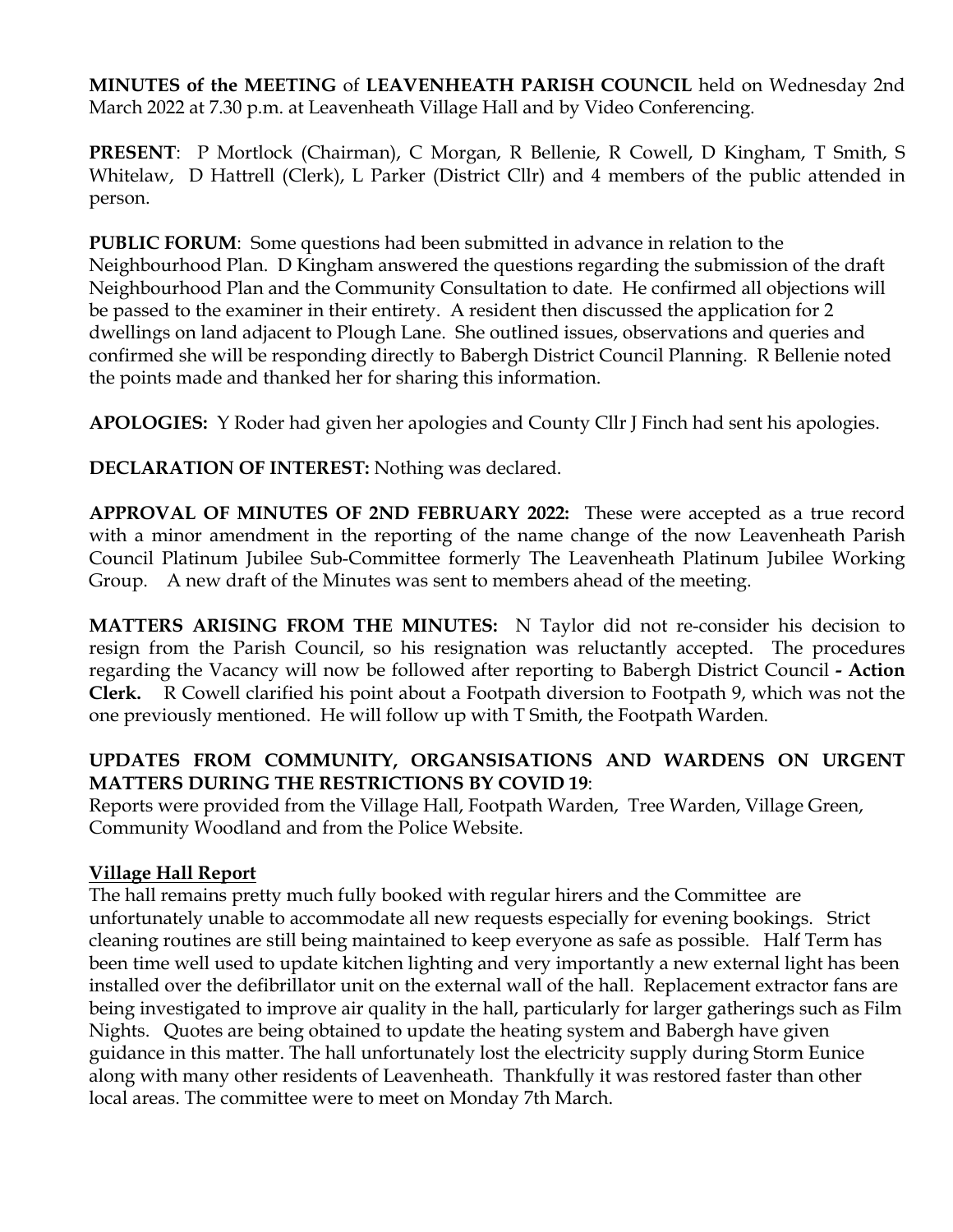**MINUTES of the MEETING** of **LEAVENHEATH PARISH COUNCIL** held on Wednesday 2nd March 2022 at 7.30 p.m. at Leavenheath Village Hall and by Video Conferencing.

**PRESENT**: P Mortlock (Chairman), C Morgan, R Bellenie, R Cowell, D Kingham, T Smith, S Whitelaw, D Hattrell (Clerk), L Parker (District Cllr) and 4 members of the public attended in person.

**PUBLIC FORUM**: Some questions had been submitted in advance in relation to the Neighbourhood Plan. D Kingham answered the questions regarding the submission of the draft Neighbourhood Plan and the Community Consultation to date. He confirmed all objections will be passed to the examiner in their entirety. A resident then discussed the application for 2 dwellings on land adjacent to Plough Lane. She outlined issues, observations and queries and confirmed she will be responding directly to Babergh District Council Planning. R Bellenie noted the points made and thanked her for sharing this information.

**APOLOGIES:** Y Roder had given her apologies and County Cllr J Finch had sent his apologies.

**DECLARATION OF INTEREST:** Nothing was declared.

**APPROVAL OF MINUTES OF 2ND FEBRUARY 2022:** These were accepted as a true record with a minor amendment in the reporting of the name change of the now Leavenheath Parish Council Platinum Jubilee Sub-Committee formerly The Leavenheath Platinum Jubilee Working Group. A new draft of the Minutes was sent to members ahead of the meeting.

**MATTERS ARISING FROM THE MINUTES:** N Taylor did not re-consider his decision to resign from the Parish Council, so his resignation was reluctantly accepted. The procedures regarding the Vacancy will now be followed after reporting to Babergh District Council **- Action Clerk.** R Cowell clarified his point about a Footpath diversion to Footpath 9, which was not the one previously mentioned. He will follow up with T Smith, the Footpath Warden.

# **UPDATES FROM COMMUNITY, ORGANSISATIONS AND WARDENS ON URGENT MATTERS DURING THE RESTRICTIONS BY COVID 19**:

Reports were provided from the Village Hall, Footpath Warden, Tree Warden, Village Green, Community Woodland and from the Police Website.

### **Village Hall Report**

The hall remains pretty much fully booked with regular hirers and the Committee are unfortunately unable to accommodate all new requests especially for evening bookings. Strict cleaning routines are still being maintained to keep everyone as safe as possible. Half Term has been time well used to update kitchen lighting and very importantly a new external light has been installed over the defibrillator unit on the external wall of the hall. Replacement extractor fans are being investigated to improve air quality in the hall, particularly for larger gatherings such as Film Nights. Quotes are being obtained to update the heating system and Babergh have given guidance in this matter. The hall unfortunately lost the electricity supply during Storm Eunice along with many other residents of Leavenheath. Thankfully it was restored faster than other local areas. The committee were to meet on Monday 7th March.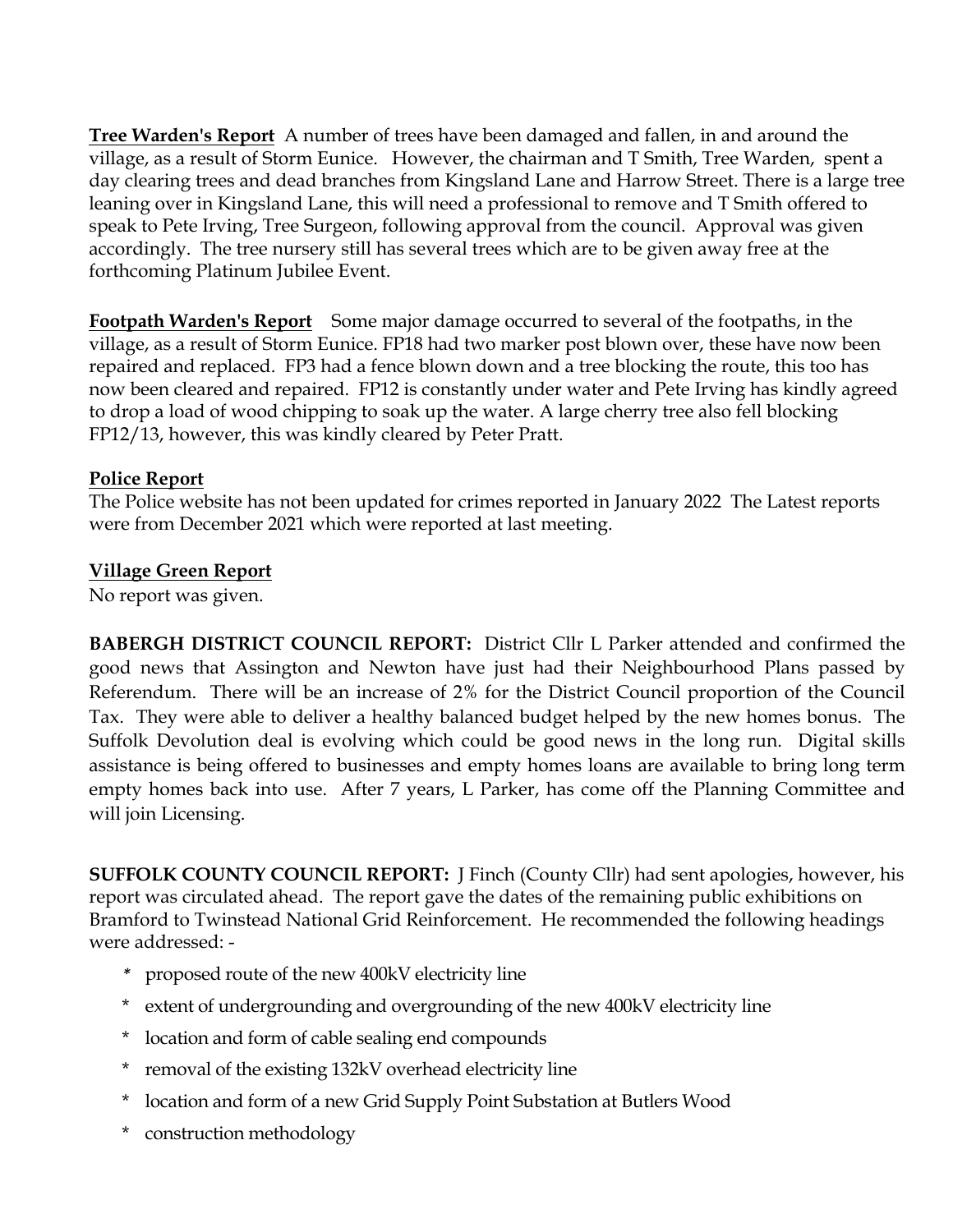**Tree Warden's Report** A number of trees have been damaged and fallen, in and around the village, as a result of Storm Eunice. However, the chairman and T Smith, Tree Warden, spent a day clearing trees and dead branches from Kingsland Lane and Harrow Street. There is a large tree leaning over in Kingsland Lane, this will need a professional to remove and T Smith offered to speak to Pete Irving, Tree Surgeon, following approval from the council. Approval was given accordingly. The tree nursery still has several trees which are to be given away free at the forthcoming Platinum Jubilee Event.

**Footpath Warden's Report** Some major damage occurred to several of the footpaths, in the village, as a result of Storm Eunice. FP18 had two marker post blown over, these have now been repaired and replaced. FP3 had a fence blown down and a tree blocking the route, this too has now been cleared and repaired. FP12 is constantly under water and Pete Irving has kindly agreed to drop a load of wood chipping to soak up the water. A large cherry tree also fell blocking FP12/13, however, this was kindly cleared by Peter Pratt.

#### **Police Report**

The Police website has not been updated for crimes reported in January 2022 The Latest reports were from December 2021 which were reported at last meeting.

#### **Village Green Report**

No report was given.

**BABERGH DISTRICT COUNCIL REPORT:** District Cllr L Parker attended and confirmed the good news that Assington and Newton have just had their Neighbourhood Plans passed by Referendum. There will be an increase of 2% for the District Council proportion of the Council Tax. They were able to deliver a healthy balanced budget helped by the new homes bonus. The Suffolk Devolution deal is evolving which could be good news in the long run. Digital skills assistance is being offered to businesses and empty homes loans are available to bring long term empty homes back into use. After 7 years, L Parker, has come off the Planning Committee and will join Licensing.

**SUFFOLK COUNTY COUNCIL REPORT:** J Finch (County Cllr) had sent apologies, however, his report was circulated ahead. The report gave the dates of the remaining public exhibitions on Bramford to Twinstead National Grid Reinforcement. He recommended the following headings were addressed: -

- *\** proposed route of the new 400kV electricity line
- extent of undergrounding and overgrounding of the new 400kV electricity line
- \* location and form of cable sealing end compounds
- \* removal of the existing 132kV overhead electricity line
- \* location and form of a new Grid Supply Point Substation at Butlers Wood
- \* construction methodology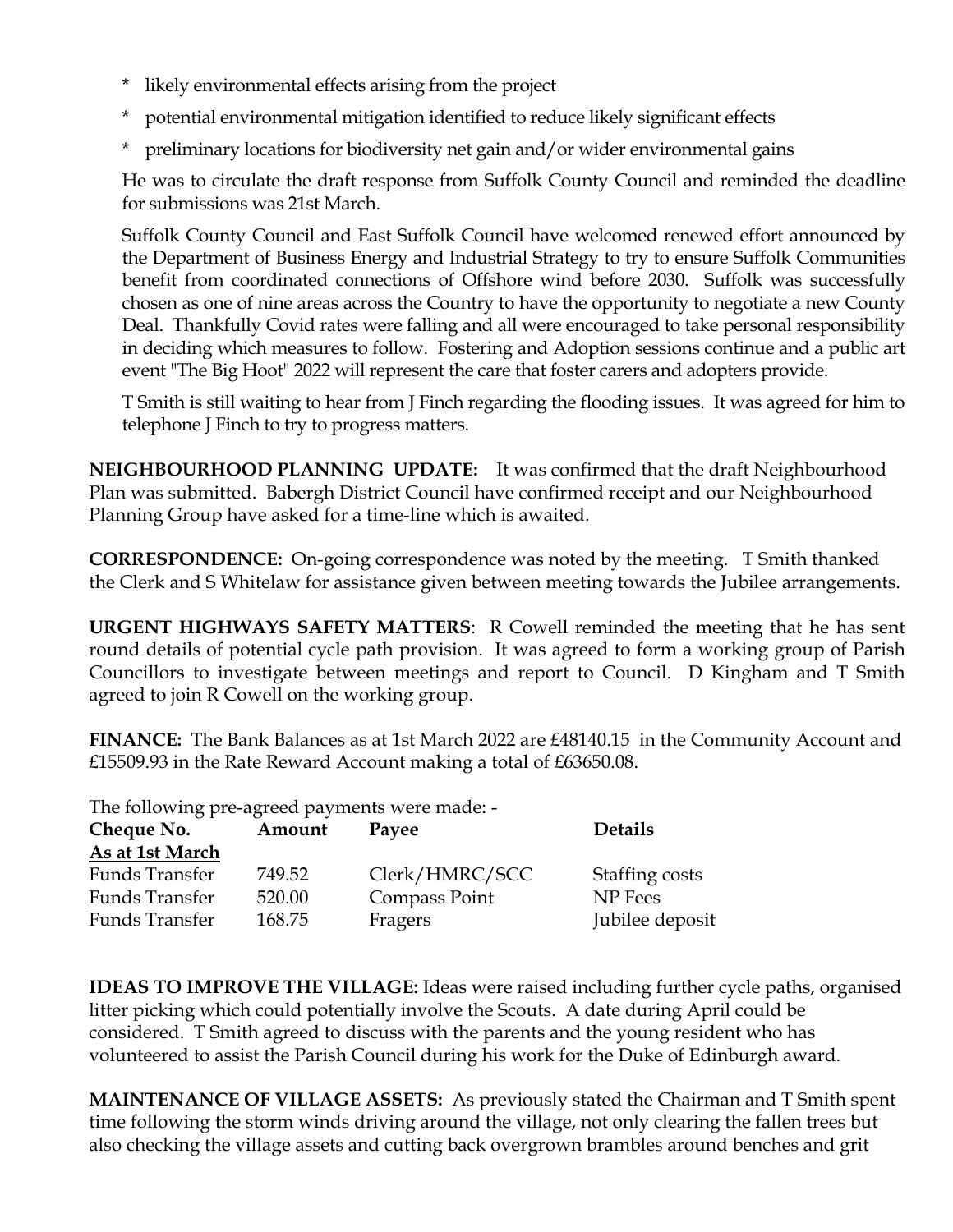- \* likely environmental effects arising from the project
- potential environmental mitigation identified to reduce likely significant effects
- \* preliminary locations for biodiversity net gain and/or wider environmental gains

He was to circulate the draft response from Suffolk County Council and reminded the deadline for submissions was 21st March.

Suffolk County Council and East Suffolk Council have welcomed renewed effort announced by the Department of Business Energy and Industrial Strategy to try to ensure Suffolk Communities benefit from coordinated connections of Offshore wind before 2030. Suffolk was successfully chosen as one of nine areas across the Country to have the opportunity to negotiate a new County Deal. Thankfully Covid rates were falling and all were encouraged to take personal responsibility in deciding which measures to follow. Fostering and Adoption sessions continue and a public art event "The Big Hoot" 2022 will represent the care that foster carers and adopters provide.

T Smith is still waiting to hear from J Finch regarding the flooding issues. It was agreed for him to telephone J Finch to try to progress matters.

**NEIGHBOURHOOD PLANNING UPDATE:** It was confirmed that the draft Neighbourhood Plan was submitted. Babergh District Council have confirmed receipt and our Neighbourhood Planning Group have asked for a time-line which is awaited.

**CORRESPONDENCE:** On-going correspondence was noted by the meeting. T Smith thanked the Clerk and S Whitelaw for assistance given between meeting towards the Jubilee arrangements.

**URGENT HIGHWAYS SAFETY MATTERS**: R Cowell reminded the meeting that he has sent round details of potential cycle path provision. It was agreed to form a working group of Parish Councillors to investigate between meetings and report to Council. D Kingham and T Smith agreed to join R Cowell on the working group.

**FINANCE:** The Bank Balances as at 1st March 2022 are £48140.15 in the Community Account and £15509.93 in the Rate Reward Account making a total of £63650.08.

The following pre-agreed payments were made: -

| Cheque No.            | Amount | Payee          | <b>Details</b>  |
|-----------------------|--------|----------------|-----------------|
| As at 1st March       |        |                |                 |
| Funds Transfer        | 749.52 | Clerk/HMRC/SCC | Staffing costs  |
| <b>Funds Transfer</b> | 520.00 | Compass Point  | NP Fees         |
| <b>Funds Transfer</b> | 168.75 | Fragers        | Jubilee deposit |

**IDEAS TO IMPROVE THE VILLAGE:** Ideas were raised including further cycle paths, organised litter picking which could potentially involve the Scouts. A date during April could be considered. T Smith agreed to discuss with the parents and the young resident who has volunteered to assist the Parish Council during his work for the Duke of Edinburgh award.

**MAINTENANCE OF VILLAGE ASSETS:** As previously stated the Chairman and T Smith spent time following the storm winds driving around the village, not only clearing the fallen trees but also checking the village assets and cutting back overgrown brambles around benches and grit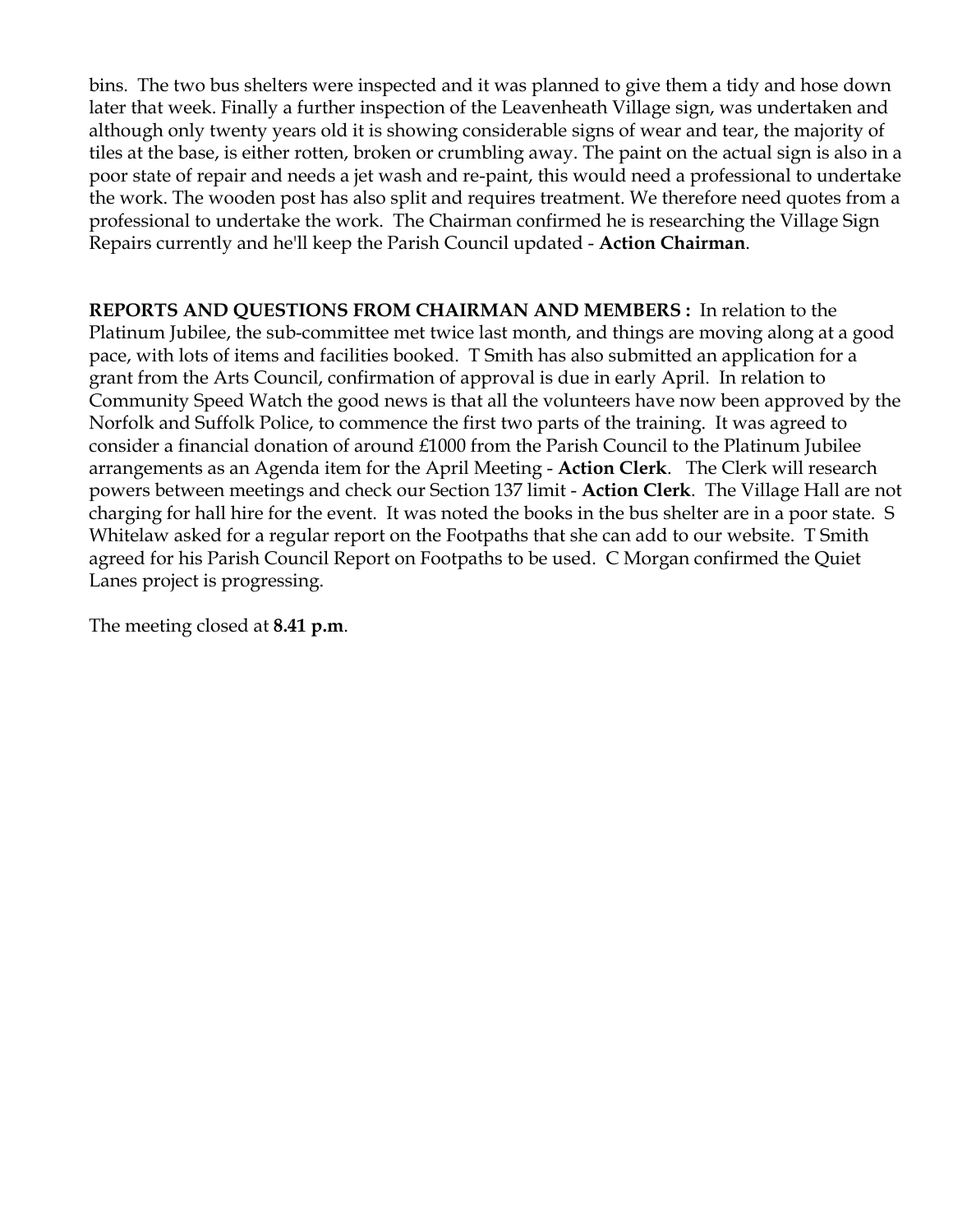bins. The two bus shelters were inspected and it was planned to give them a tidy and hose down later that week. Finally a further inspection of the Leavenheath Village sign, was undertaken and although only twenty years old it is showing considerable signs of wear and tear, the majority of tiles at the base, is either rotten, broken or crumbling away. The paint on the actual sign is also in a poor state of repair and needs a jet wash and re-paint, this would need a professional to undertake the work. The wooden post has also split and requires treatment. We therefore need quotes from a professional to undertake the work. The Chairman confirmed he is researching the Village Sign Repairs currently and he'll keep the Parish Council updated - **Action Chairman**.

**REPORTS AND QUESTIONS FROM CHAIRMAN AND MEMBERS :** In relation to the Platinum Jubilee, the sub-committee met twice last month, and things are moving along at a good pace, with lots of items and facilities booked. T Smith has also submitted an application for a grant from the Arts Council, confirmation of approval is due in early April. In relation to Community Speed Watch the good news is that all the volunteers have now been approved by the Norfolk and Suffolk Police, to commence the first two parts of the training. It was agreed to consider a financial donation of around £1000 from the Parish Council to the Platinum Jubilee arrangements as an Agenda item for the April Meeting - **Action Clerk**. The Clerk will research powers between meetings and check our Section 137 limit - **Action Clerk**. The Village Hall are not charging for hall hire for the event. It was noted the books in the bus shelter are in a poor state. S Whitelaw asked for a regular report on the Footpaths that she can add to our website. T Smith agreed for his Parish Council Report on Footpaths to be used. C Morgan confirmed the Quiet Lanes project is progressing.

The meeting closed at **8.41 p.m**.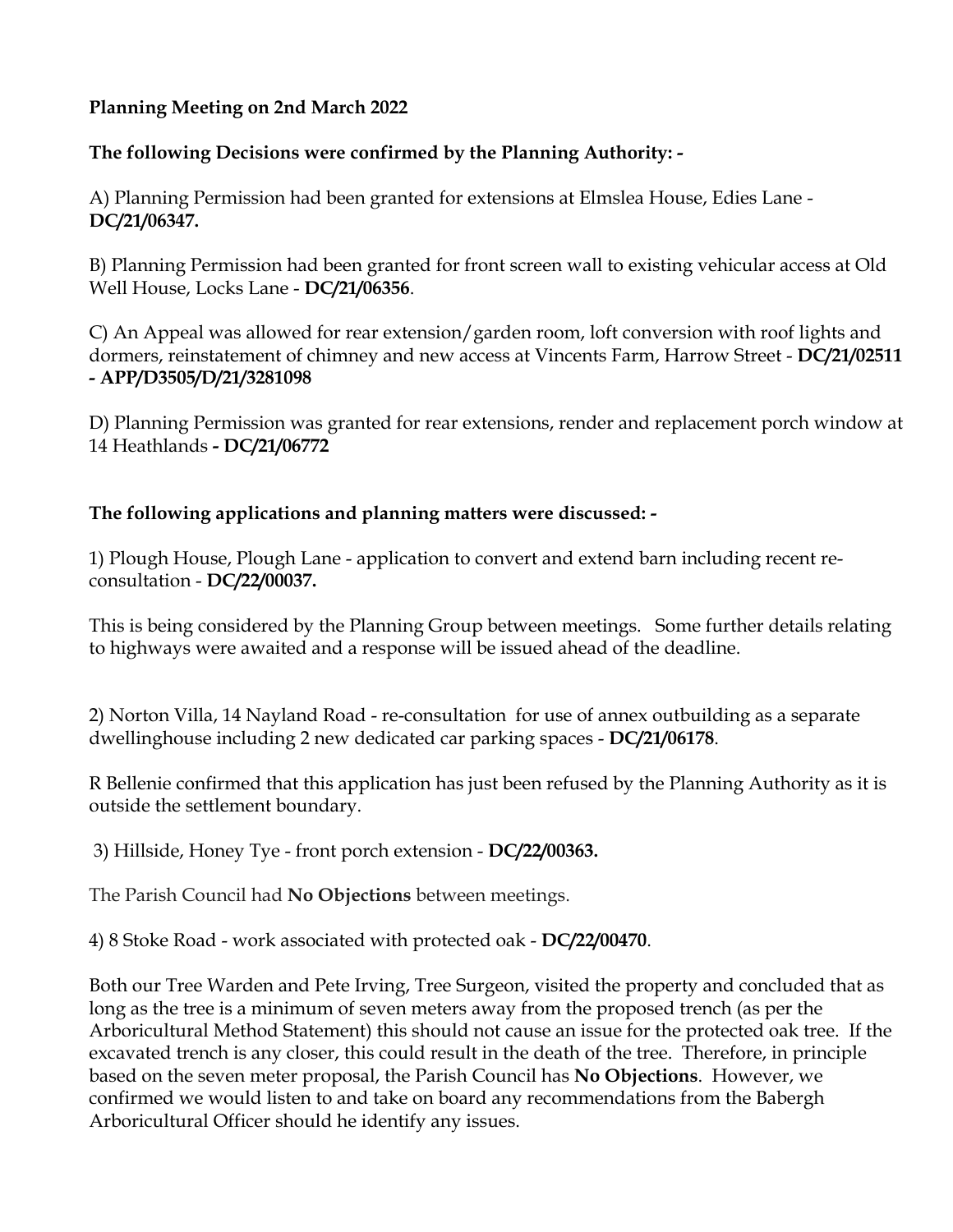## **Planning Meeting on 2nd March 2022**

# **The following Decisions were confirmed by the Planning Authority: -**

A) Planning Permission had been granted for extensions at Elmslea House, Edies Lane - **DC/21/06347.**

B) Planning Permission had been granted for front screen wall to existing vehicular access at Old Well House, Locks Lane - **DC/21/06356**.

C) An Appeal was allowed for rear extension/garden room, loft conversion with roof lights and dormers, reinstatement of chimney and new access at Vincents Farm, Harrow Street - **DC/21/02511 - APP/D3505/D/21/3281098**

D) Planning Permission was granted for rear extensions, render and replacement porch window at 14 Heathlands **- DC/21/06772**

# **The following applications and planning matters were discussed: -**

1) Plough House, Plough Lane - application to convert and extend barn including recent reconsultation - **DC/22/00037.**

This is being considered by the Planning Group between meetings. Some further details relating to highways were awaited and a response will be issued ahead of the deadline.

2) Norton Villa, 14 Nayland Road - re-consultation for use of annex outbuilding as a separate dwellinghouse including 2 new dedicated car parking spaces - **DC/21/06178**.

R Bellenie confirmed that this application has just been refused by the Planning Authority as it is outside the settlement boundary.

3) Hillside, Honey Tye - front porch extension - **DC/22/00363.** 

The Parish Council had **No Objections** between meetings.

4) 8 Stoke Road - work associated with protected oak - **DC/22/00470**.

Both our Tree Warden and Pete Irving, Tree Surgeon, visited the property and concluded that as long as the tree is a minimum of seven meters away from the proposed trench (as per the Arboricultural Method Statement) this should not cause an issue for the protected oak tree. If the excavated trench is any closer, this could result in the death of the tree. Therefore, in principle based on the seven meter proposal, the Parish Council has **No Objections**. However, we confirmed we would listen to and take on board any recommendations from the Babergh Arboricultural Officer should he identify any issues.